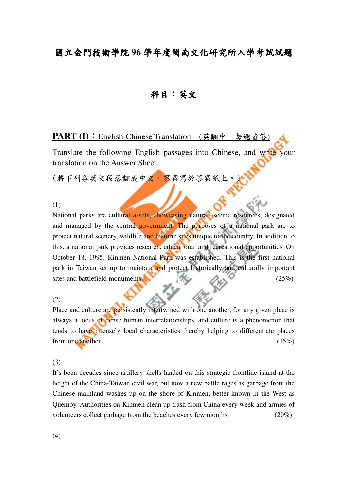# 國立金門技術學院 **96** 學年度閩南文化研究所入學考試試題

### 科目:英文

**PART (I):** English-Chinese Translation (英翻中—每題皆答

Translate the following English passages into Chinese, and write your translation on the Answer Sheet.

(將下列各英文段落翻成中文。答案寫於答案紙上

(1)

National parks are cultural assets, showcasing natural, scenic resources, designated and managed by the central government. The purposes of a national park are to protect natural scenery, wildlife and historic sites unique to the country. In addition to this, a national park provides research, educational and recreational opportunities. On October 18, 1995, Kinmen National Park was established. This is the first national park in Taiwan set up to maintain and protect historically and culturally important sites and battlefield monuments.  $\mathbb{R}$  (25%)

(2)

Place and culture are persistently intertwined with one another, for any given place is always a locus of dense human interrelationships, and culture is a phenomenon that tends to have intensely local characteristics thereby helping to differentiate places from one another.  $(15\%)$ 

(3)

It's been decades since artillery shells landed on this strategic frontline island at the height of the China-Taiwan civil war, but now a new battle rages as garbage from the Chinese mainland washes up on the shore of Kinmen, better known in the West as Quemoy. Authorities on Kinmen clean up trash from China every week and armies of volunteers collect garbage from the beaches every few months. (20%)

(4)